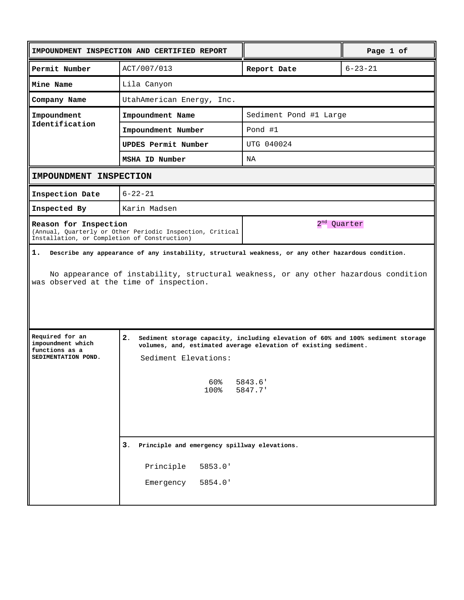|                                                                               | IMPOUNDMENT INSPECTION AND CERTIFIED REPORT                                                                                                                                                                                                                                             |                        | Page 1 of     |
|-------------------------------------------------------------------------------|-----------------------------------------------------------------------------------------------------------------------------------------------------------------------------------------------------------------------------------------------------------------------------------------|------------------------|---------------|
| Permit Number                                                                 | ACT/007/013                                                                                                                                                                                                                                                                             | Report Date            | $6 - 23 - 21$ |
| Mine Name                                                                     | Lila Canyon                                                                                                                                                                                                                                                                             |                        |               |
| Company Name                                                                  | UtahAmerican Energy, Inc.                                                                                                                                                                                                                                                               |                        |               |
| Impoundment<br>Identification                                                 | Impoundment Name                                                                                                                                                                                                                                                                        | Sediment Pond #1 Large |               |
|                                                                               | Impoundment Number                                                                                                                                                                                                                                                                      | Pond #1                |               |
|                                                                               | UPDES Permit Number                                                                                                                                                                                                                                                                     | UTG 040024             |               |
|                                                                               | MSHA ID Number                                                                                                                                                                                                                                                                          | NA                     |               |
| IMPOUNDMENT INSPECTION                                                        |                                                                                                                                                                                                                                                                                         |                        |               |
| Inspection Date                                                               | $6 - 22 - 21$                                                                                                                                                                                                                                                                           |                        |               |
| Inspected By                                                                  | Karin Madsen                                                                                                                                                                                                                                                                            |                        |               |
|                                                                               | 2 <sup>nd</sup> Quarter<br>Reason for Inspection<br>(Annual, Quarterly or Other Periodic Inspection, Critical<br>Installation, or Completion of Construction)                                                                                                                           |                        |               |
|                                                                               | No appearance of instability, structural weakness, or any other hazardous condition<br>was observed at the time of inspection.                                                                                                                                                          |                        |               |
| Required for an<br>impoundment which<br>functions as a<br>SEDIMENTATION POND. | $\mathbf{2}$ .<br>Sediment storage capacity, including elevation of 60% and 100% sediment storage<br>volumes, and, estimated average elevation of existing sediment.<br>Sediment Elevations:<br>60%<br>5843.6'<br>100%<br>5847.7'<br>3.<br>Principle and emergency spillway elevations. |                        |               |
|                                                                               | Principle<br>5853.0'<br>5854.0'<br>Emergency                                                                                                                                                                                                                                            |                        |               |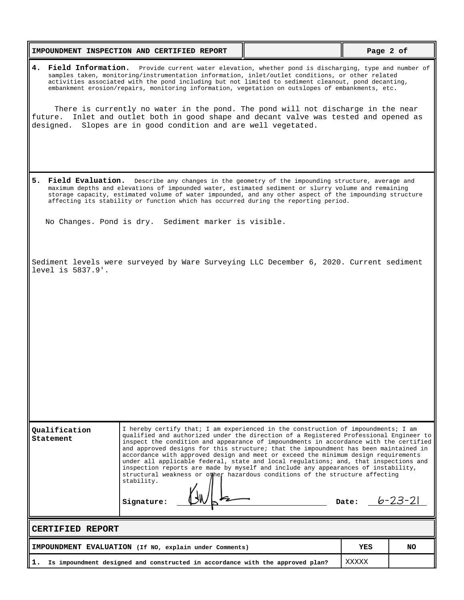|                                                                                                                                                                                                                                                                                                                                                                                                                          | IMPOUNDMENT INSPECTION AND CERTIFIED REPORT                                                                                                                                                                                                                                                                                                                                                                                                                                                                                                                                                                                                                                                                                                |  | Page 2 of       |     |
|--------------------------------------------------------------------------------------------------------------------------------------------------------------------------------------------------------------------------------------------------------------------------------------------------------------------------------------------------------------------------------------------------------------------------|--------------------------------------------------------------------------------------------------------------------------------------------------------------------------------------------------------------------------------------------------------------------------------------------------------------------------------------------------------------------------------------------------------------------------------------------------------------------------------------------------------------------------------------------------------------------------------------------------------------------------------------------------------------------------------------------------------------------------------------------|--|-----------------|-----|
| 4.<br>Field Information. Provide current water elevation, whether pond is discharging, type and number of<br>samples taken, monitoring/instrumentation information, inlet/outlet conditions, or other related<br>activities associated with the pond including but not limited to sediment cleanout, pond decanting,<br>embankment erosion/repairs, monitoring information, vegetation on outslopes of embankments, etc. |                                                                                                                                                                                                                                                                                                                                                                                                                                                                                                                                                                                                                                                                                                                                            |  |                 |     |
| future.                                                                                                                                                                                                                                                                                                                                                                                                                  | There is currently no water in the pond. The pond will not discharge in the near<br>Inlet and outlet both in good shape and decant valve was tested and opened as<br>designed. Slopes are in good condition and are well vegetated.                                                                                                                                                                                                                                                                                                                                                                                                                                                                                                        |  |                 |     |
| 5.                                                                                                                                                                                                                                                                                                                                                                                                                       | Field Evaluation. Describe any changes in the geometry of the impounding structure, average and<br>maximum depths and elevations of impounded water, estimated sediment or slurry volume and remaining<br>storage capacity, estimated volume of water impounded, and any other aspect of the impounding structure<br>affecting its stability or function which has occurred during the reporting period.                                                                                                                                                                                                                                                                                                                                   |  |                 |     |
|                                                                                                                                                                                                                                                                                                                                                                                                                          | No Changes. Pond is dry. Sediment marker is visible.                                                                                                                                                                                                                                                                                                                                                                                                                                                                                                                                                                                                                                                                                       |  |                 |     |
| level is 5837.9'.                                                                                                                                                                                                                                                                                                                                                                                                        | Sediment levels were surveyed by Ware Surveying LLC December 6, 2020. Current sediment                                                                                                                                                                                                                                                                                                                                                                                                                                                                                                                                                                                                                                                     |  |                 |     |
| Qualification<br>Statement                                                                                                                                                                                                                                                                                                                                                                                               | I hereby certify that; I am experienced in the construction of impoundments; I am<br>qualified and authorized under the direction of a Registered Professional Engineer to<br>inspect the condition and appearance of impoundments in accordance with the certified<br>and approved designs for this structure; that the impoundment has been maintained in<br>accordance with approved design and meet or exceed the minimum design requirements<br>under all applicable federal, state and local regulations; and, that inspections and<br>inspection reports are made by myself and include any appearances of instability,<br>structural weakness or other hazardous conditions of the structure affecting<br>stability.<br>Signature: |  | Date: $b-23-21$ |     |
| <b>CERTIFIED REPORT</b>                                                                                                                                                                                                                                                                                                                                                                                                  |                                                                                                                                                                                                                                                                                                                                                                                                                                                                                                                                                                                                                                                                                                                                            |  |                 |     |
|                                                                                                                                                                                                                                                                                                                                                                                                                          | IMPOUNDMENT EVALUATION (If NO, explain under Comments)                                                                                                                                                                                                                                                                                                                                                                                                                                                                                                                                                                                                                                                                                     |  | YES             | NO. |
| 1.                                                                                                                                                                                                                                                                                                                                                                                                                       | Is impoundment designed and constructed in accordance with the approved plan?                                                                                                                                                                                                                                                                                                                                                                                                                                                                                                                                                                                                                                                              |  | XXXXX           |     |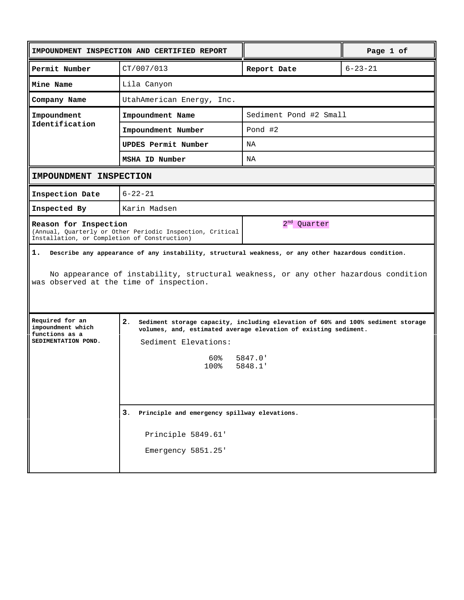|                                                                                                                                                                                                                                            | IMPOUNDMENT INSPECTION AND CERTIFIED REPORT                                                                                                                                                       |                        | Page 1 of     |
|--------------------------------------------------------------------------------------------------------------------------------------------------------------------------------------------------------------------------------------------|---------------------------------------------------------------------------------------------------------------------------------------------------------------------------------------------------|------------------------|---------------|
| Permit Number                                                                                                                                                                                                                              | CT/007/013                                                                                                                                                                                        | Report Date            | $6 - 23 - 21$ |
| Mine Name                                                                                                                                                                                                                                  | Lila Canyon                                                                                                                                                                                       |                        |               |
| Company Name                                                                                                                                                                                                                               | UtahAmerican Energy, Inc.                                                                                                                                                                         |                        |               |
| Impoundment<br>Identification                                                                                                                                                                                                              | Impoundment Name                                                                                                                                                                                  | Sediment Pond #2 Small |               |
|                                                                                                                                                                                                                                            | Impoundment Number                                                                                                                                                                                | Pond #2                |               |
|                                                                                                                                                                                                                                            | UPDES Permit Number                                                                                                                                                                               | NA                     |               |
|                                                                                                                                                                                                                                            | MSHA ID Number                                                                                                                                                                                    | NA                     |               |
| IMPOUNDMENT INSPECTION                                                                                                                                                                                                                     |                                                                                                                                                                                                   |                        |               |
| Inspection Date                                                                                                                                                                                                                            | $6 - 22 - 21$                                                                                                                                                                                     |                        |               |
| Inspected By                                                                                                                                                                                                                               | Karin Madsen                                                                                                                                                                                      |                        |               |
| 2 <sup>nd</sup> Quarter<br>Reason for Inspection<br>(Annual, Quarterly or Other Periodic Inspection, Critical<br>Installation, or Completion of Construction)                                                                              |                                                                                                                                                                                                   |                        |               |
| 1.<br>Describe any appearance of any instability, structural weakness, or any other hazardous condition.<br>No appearance of instability, structural weakness, or any other hazardous condition<br>was observed at the time of inspection. |                                                                                                                                                                                                   |                        |               |
| Required for an<br>impoundment which<br>functions as a<br>SEDIMENTATION POND.                                                                                                                                                              | 2.<br>Sediment storage capacity, including elevation of 60% and 100% sediment storage<br>volumes, and, estimated average elevation of existing sediment.<br>Sediment Elevations:<br>60% a<br>100% | 5847.0'<br>5848.1'     |               |
|                                                                                                                                                                                                                                            | 3.<br>Principle and emergency spillway elevations.<br>Principle 5849.61'<br>Emergency 5851.25'                                                                                                    |                        |               |